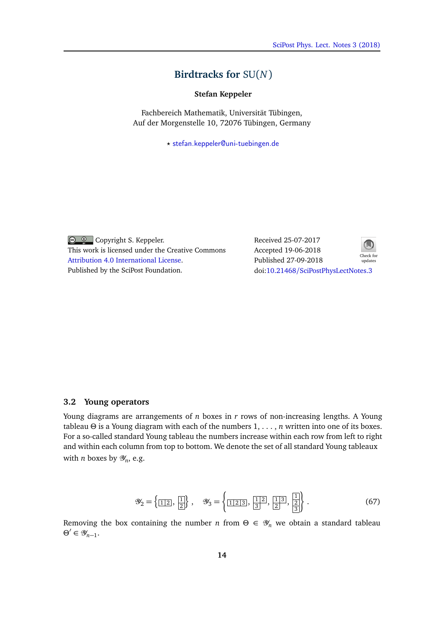## **Birdtracks for** SU(*N*)

**Stefan Keppeler**

Fachbereich Mathematik, Universität Tübingen, Auf der Morgenstelle 10, 72076 Tübingen, Germany

*?* [stefan.keppeler@uni-tuebingen.de](mailto:stefan.keppeler@uni-tuebingen.de)

Copyright S. Keppeler. This work is licensed under the Creative Commons [Attribution 4.0 International License.](http://creativecommons.org/licenses/by/4.0/) Published by the SciPost Foundation.

Received 25-07-2017 Accepted 19-06-2018 Published 27-09-2018 updates doi:10.21468/[SciPostPhysLectNotes.3](http://dx.doi.org/10.21468/SciPostPhysLectNotes.3)



## **3.2 Young operators**

Young diagrams are arrangements of *n* boxes in *r* rows of non-increasing lengths. A Young tableau *Θ* is a Young [diagram](#page-2-0) with each of the numbers 1, . . . , *n* written into one of its boxes. For a so-called standard Young tableau the numbers increase within each row from left to right and within each column from top to bottom. We denote the set of all standard Young tableaux with *n* boxes by  $\mathscr{Y}_n$ , e.g.

$$
\mathcal{Y}_2 = \left\{ \boxed{1\,2}, \boxed{1} \right\}, \quad \mathcal{Y}_3 = \left\{ \boxed{1\,2\,3}, \boxed{1\,2}, \boxed{1\,3}, \boxed{2} \right\}.
$$
 (67)

Removing the box containing the number *n* from  $\Theta \in \mathcal{Y}_n$  we obtain a standard tableau *Θ*<sup>'</sup> ∈ *Ψ*<sub>*n*−1</sub>.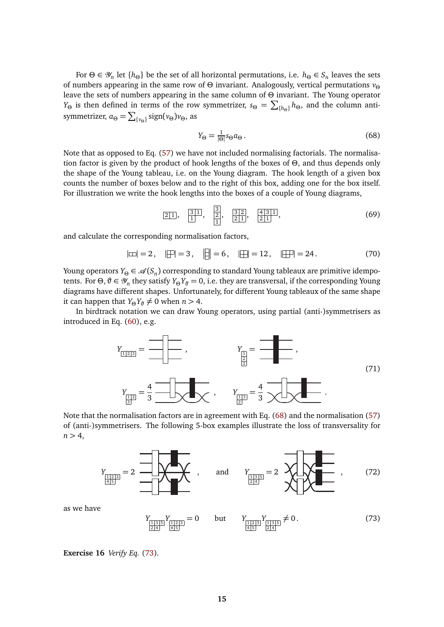For  $\Theta \in \mathcal{Y}_n$  let  $\{h_{\Theta}\}\$  be the set of all horizontal permutations, i.e.  $h_{\Theta} \in S_n$  leaves the sets of numbers appearing in the same row of *Θ* invariant. Analogously, vertical permutations *v<sup>Θ</sup>* leave the sets of numbers appearing in the same column of *Θ* invariant. The Young operator *Y*<sub>Θ</sub> is then defined in terms of the row symmetrizer,  $s_{\Theta} = \sum_{\{h_{\Theta}\}} h_{\Theta}$ , and the column antisymmetrizer,  $a_{\Theta} = \sum_{\{v_{\Theta}\}} sign(v_{\Theta})v_{\Theta}$ , as

<span id="page-1-0"></span>
$$
Y_{\Theta} = \frac{1}{|\Theta|} s_{\Theta} a_{\Theta} \,. \tag{68}
$$

Note that as opposed to Eq. (57) we have not included normalising factorials. The normalisation factor is given by the product of hook lengths of the boxes of *Θ*, and thus depends only the shape of the Young tableau, i.e. on the Young diagram. The hook length of a given box counts the number of boxes below and to the right of this box, adding one for the box itself. For illustration we write the hook lengths into the boxes of a couple of Young diagrams,

$$
\boxed{2|1}, \quad \boxed{\frac{3}{1}}, \quad \boxed{\frac{3}{2}}, \quad \boxed{\frac{3}{2}\frac{1}{1}}, \quad \boxed{\frac{4}{2}\frac{3}{1}}.
$$
\n
$$
(69)
$$

and calculate the corresponding normalisation factors,

$$
|\Box| = 2
$$
,  $|\Box| = 3$ ,  $|\Box| = 6$ ,  $|\Box| = 12$ ,  $|\Box|| = 24$ . (70)

Young operators  $Y_{\Theta}$  ∈  $\mathscr{A}(S_n)$  corresponding to standard Young tableaux are primitive idempotents. For Θ,  $\theta \in \mathscr{Y}_n$  they satisfy  $Y_{\Theta}Y_{\theta} = 0$ , i.e. they are transversal, if the corresponding Young diagrams have different shapes. Unfortunately, for different Young tableaux of the same shape it can happen that  $Y_{\Theta}Y_{\vartheta} \neq 0$  when  $n > 4$ .

In birdtrack notation we can draw Young operators, using partial (anti-)symmetrisers as introduced in Eq. (60), e.g.



Note that the normalisation factors are in agreement with Eq. [\(68\)](#page-1-0) and the normalisation (57) of (anti-)symmetrisers. The following 5-box examples illustrate the loss of transversality for  $n > 4$ ,



<span id="page-1-1"></span>as we have

$$
Y_{\frac{1|3|5}{2|4|}} Y_{\frac{1|2|3}{4|5|}} = 0 \quad \text{but} \quad Y_{\frac{1|2|3}{4|5|}} Y_{\frac{1|3|5}{2|4|}} \neq 0. \tag{73}
$$

**Exercise 16** *Verify Eq.* [\(73\)](#page-1-1)*.*